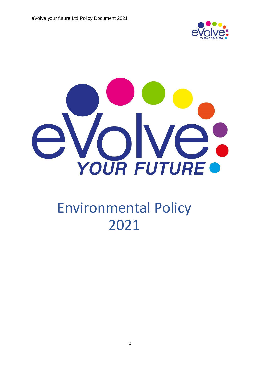



# Environmental Policy 2021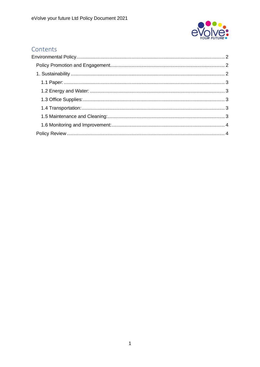

### Contents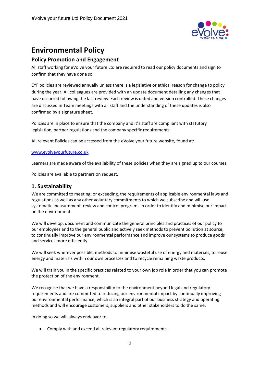

## <span id="page-2-0"></span>**Environmental Policy**

#### <span id="page-2-1"></span>**Policy Promotion and Engagement**

All staff working for eVolve your future Ltd are required to read our policy documents and sign to confirm that they have done so.

EYF policies are reviewed annually unless there is a legislative or ethical reason for change to policy during the year. All colleagues are provided with an update document detailing any changes that have occurred following the last review. Each review is dated and version controlled. These changes are discussed in Team meetings with all staff and the understanding of these updates is also confirmed by a signature sheet.

Policies are in place to ensure that the company and it's staff are compliant with statutory legislation, partner regulations and the company specific requirements.

All relevant Policies can be accessed from the eVolve your future website, found at:

#### [www.evolveyourfuture.co.uk](http://www.evolveyourfuture.co.uk/)

Learners are made aware of the availability of these policies when they are signed up to our courses.

Policies are available to partners on request.

#### <span id="page-2-2"></span>**1. Sustainability**

We are committed to meeting, or exceeding, the requirements of applicable environmental laws and regulations as well as any other voluntary commitments to which we subscribe and will use systematic measurement, review and control programs in order to identify and minimise our impact on the environment.

We will develop, document and communicate the general principles and practices of our policy to our employees and to the general public and actively seek methods to prevent pollution at source, to continually improve our environmental performance and improve our systems to produce goods and services more efficiently.

We will seek wherever possible, methods to minimise wasteful use of energy and materials, to reuse energy and materials within our own processes and to recycle remaining waste products.

We will train you in the specific practices related to your own job role in order that you can promote the protection of the environment.

We recognise that we have a responsibility to the environment beyond legal and regulatory requirements and are committed to reducing our environmental impact by continually improving our environmental performance, which is an integral part of our business strategy and operating methods and will encourage customers, suppliers and other stakeholders to do the same.

In doing so we will always endeavor to:

• Comply with and exceed all relevant regulatory requirements.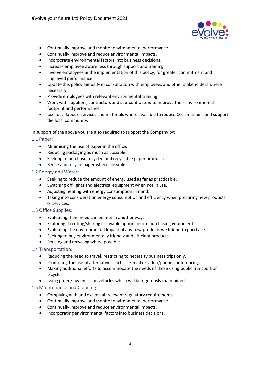

- Continually improve and monitor environmental performance.
- Continually improve and reduce environmental impacts.
- Incorporate environmental factors into business decisions.
- Increase employee awareness through support and training.
- Involve employees in the implementation of this policy, for greater commitment and improved performance.
- Update this policy annually in consultation with employees and other stakeholders where necessary.
- Provide employees with relevant environmental training.
- Work with suppliers, contractors and sub-contractors to improve their environmental footprint and performance.
- Use local labour, services and materials where available to reduce  $CO<sub>2</sub>$  emissions and support the local community.

In support of the above you are also required to support the Company by:

#### <span id="page-3-0"></span>1.1 Paper:

- Minimising the use of paper in the office.
- Reducing packaging as much as possible.
- Seeking to purchase recycled and recyclable paper products.
- Reuse and recycle paper where possible.

#### <span id="page-3-1"></span>1.2 Energy and Water:

- Seeking to reduce the amount of energy used as far as practicable.
- Switching off lights and electrical equipment when not in use.
- Adjusting heating with energy consumption in mind.
- Taking into consideration energy consumption and efficiency when procuring new products or services.

#### <span id="page-3-2"></span>1.3 Office Supplies:

- Evaluating if the need can be met in another way.
- Exploring if renting/sharing is a viable option before purchasing equipment.
- Evaluating the environmental impact of any new products we intend to purchase.
- Seeking to buy environmentally friendly and efficient products.
- Reusing and recycling where possible.

#### <span id="page-3-3"></span>1.4 Transportation:

- Reducing the need to travel, restricting to necessity business trips only.
- Promoting the use of alternatives such as e-mail or video/phone conferencing.
- Making additional efforts to accommodate the needs of those using public transport or bicycles.
- Using green/low emission vehicles which will be rigorously maintained.

#### <span id="page-3-4"></span>1.5 Maintenance and Cleaning:

- Complying with and exceed all relevant regulatory requirements.
- Continually improve and monitor environmental performance.
- Continually improve and reduce environmental impacts.
- Incorporating environmental factors into business decisions.